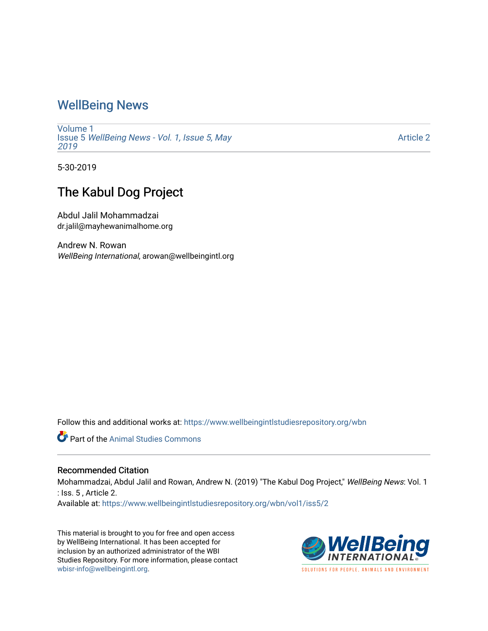### [WellBeing News](https://www.wellbeingintlstudiesrepository.org/wbn)

[Volume 1](https://www.wellbeingintlstudiesrepository.org/wbn/vol1) Issue 5 [WellBeing News - Vol. 1, Issue 5, May](https://www.wellbeingintlstudiesrepository.org/wbn/vol1/iss5) [2019](https://www.wellbeingintlstudiesrepository.org/wbn/vol1/iss5) 

[Article 2](https://www.wellbeingintlstudiesrepository.org/wbn/vol1/iss5/2) 

5-30-2019

## The Kabul Dog Project

Abdul Jalil Mohammadzai dr.jalil@mayhewanimalhome.org

Andrew N. Rowan WellBeing International, arowan@wellbeingintl.org

Follow this and additional works at: [https://www.wellbeingintlstudiesrepository.org/wbn](https://www.wellbeingintlstudiesrepository.org/wbn?utm_source=www.wellbeingintlstudiesrepository.org%2Fwbn%2Fvol1%2Fiss5%2F2&utm_medium=PDF&utm_campaign=PDFCoverPages)



#### Recommended Citation

Mohammadzai, Abdul Jalil and Rowan, Andrew N. (2019) "The Kabul Dog Project," WellBeing News: Vol. 1 : Iss. 5 , Article 2.

Available at: [https://www.wellbeingintlstudiesrepository.org/wbn/vol1/iss5/2](https://www.wellbeingintlstudiesrepository.org/wbn/vol1/iss5/2?utm_source=www.wellbeingintlstudiesrepository.org%2Fwbn%2Fvol1%2Fiss5%2F2&utm_medium=PDF&utm_campaign=PDFCoverPages)

This material is brought to you for free and open access by WellBeing International. It has been accepted for inclusion by an authorized administrator of the WBI Studies Repository. For more information, please contact [wbisr-info@wellbeingintl.org](mailto:wbisr-info@wellbeingintl.org).

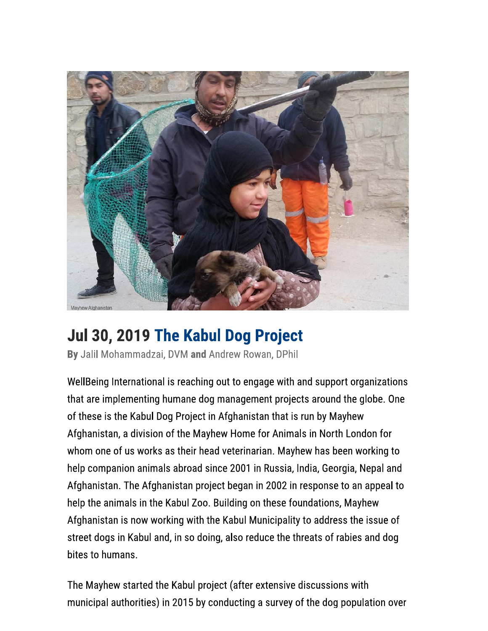

# Jul 30, 2019 The Kabul Dog Project

By Jalil Mohammadzai, DVM and Andrew Rowan, DPhil

WellBeing International is reaching out to engage with and support organizations that are implementing humane dog management projects around the globe. One of these is the Kabul Dog Project in Afghanistan that is run by Mayhew Afghanistan, a division of the Mayhew Home for Animals in North London for whom one of us works as their head veterinarian. Mayhew has been working to help companion animals abroad since 2001 in Russia, India, Georgia, Nepal and Afghanistan. The Afghanistan project began in 2002 in response to an appeal to help the animals in the Kabul Zoo. Building on these foundations, Mayhew Afghanistan is now working with the Kabul Municipality to address the issue of street dogs in Kabul and, in so doing, also reduce the threats of rabies and dog bites to humans.

The Mayhew started the Kabul project (after extensive discussions with municipal authorities) in 2015 by conducting a survey of the dog population over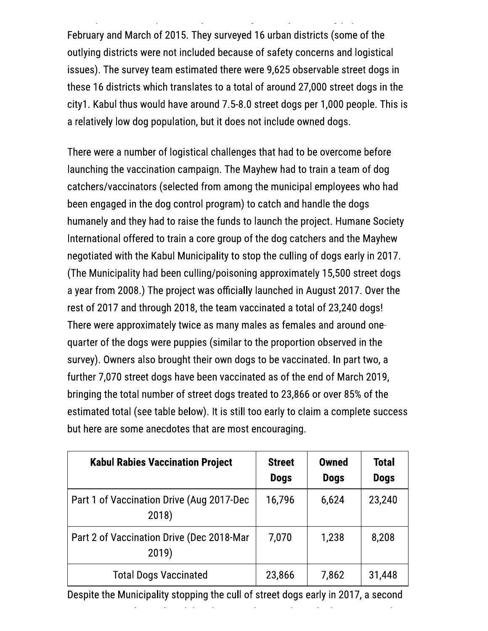February and March of 2015. They surveyed 16 urban districts (some of the outlying districts were not included because of safety concerns and logistical issues). The survey team estimated there were 9,625 observable street dogs in these 16 districts which translates to a total of around 27,000 street dogs in the city1. Kabul thus would have around 7.5-8.0 street dogs per 1,000 people. This is a relatively low dog population, but it does not include owned dogs.

There were a number of logistical challenges that had to be overcome before launching the vaccination campaign. The Mayhew had to train a team of dog catchers/vaccinators (selected from among the municipal employees who had been engaged in the dog control program) to catch and handle the dogs humanely and they had to raise the funds to launch the project. Humane Society International offered to train a core group of the dog catchers and the Mayhew negotiated with the Kabul Municipality to stop the culling of dogs early in 2017. (The Municipality had been culling/poisoning approximately 15,500 street dogs a year from 2008.) The project was officially launched in August 2017. Over the rest of 2017 and through 2018, the team vaccinated a total of 23,240 dogs! There were approximately twice as many males as females and around onequarter of the dogs were puppies (similar to the proportion observed in the survey). Owners also brought their own dogs to be vaccinated. In part two, a further 7,070 street dogs have been vaccinated as of the end of March 2019, bringing the total number of street dogs treated to 23,866 or over 85% of the estimated total (see table below). It is still too early to claim a complete success but here are some anecdotes that are most encouraging.

| <b>Kabul Rabies Vaccination Project</b>            | <b>Street</b><br><b>Dogs</b> | <b>Owned</b><br><b>Dogs</b> | <b>Total</b><br><b>Dogs</b> |
|----------------------------------------------------|------------------------------|-----------------------------|-----------------------------|
| Part 1 of Vaccination Drive (Aug 2017-Dec<br>2018) | 16,796                       | 6,624                       | 23,240                      |
| Part 2 of Vaccination Drive (Dec 2018-Mar<br>2019) | 7,070                        | 1,238                       | 8,208                       |
| <b>Total Dogs Vaccinated</b>                       | 23,866                       | 7,862                       | 31,448                      |

Despite the Municipality stopping the cull of street dogs early in 2017, a second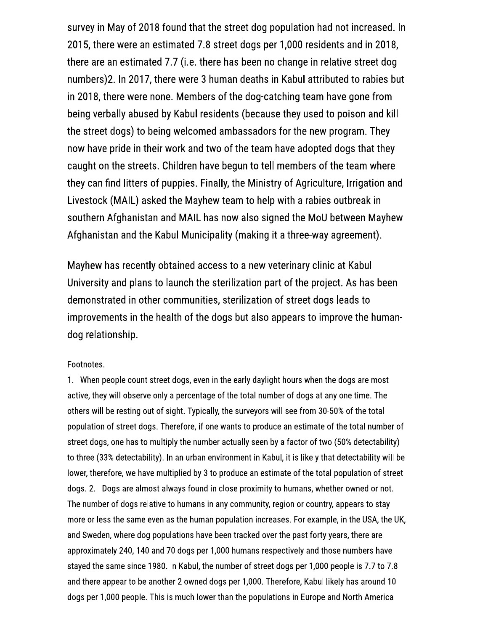survey in May of 2018 found that the street dog population had not increased. In 2015, there were an estimated 7.8 street dogs per 1,000 residents and in 2018, there are an estimated 7.7 (i.e. there has been no change in relative street dog numbers)2. In 2017, there were 3 human deaths in Kabul attributed to rabies but in 2018, there were none. Members of the dog-catching team have gone from being verbally abused by Kabul residents (because they used to poison and kill the street dogs) to being welcomed ambassadors for the new program. They now have pride in their work and two of the team have adopted dogs that they caught on the streets. Children have begun to tell members of the team where they can find litters of puppies. Finally, the Ministry of Agriculture, Irrigation and Livestock (MAIL) asked the Mayhew team to help with a rabies outbreak in southern Afghanistan and MAIL has now also signed the MoU between Mayhew Afghanistan and the Kabul Municipality (making it a three-way agreement).

Mayhew has recently obtained access to a new veterinary clinic at Kabul University and plans to launch the sterilization part of the project. As has been demonstrated in other communities, sterilization of street dogs leads to improvements in the health of the dogs but also appears to improve the humandog relationship.

#### Footnotes.

1. When people count street dogs, even in the early daylight hours when the dogs are most active, they will observe only a percentage of the total number of dogs at any one time. The others will be resting out of sight. Typically, the surveyors will see from 30-50% of the total population of street dogs. Therefore, if one wants to produce an estimate of the total number of street dogs, one has to multiply the number actually seen by a factor of two (50% detectability) to three (33% detectability). In an urban environment in Kabul, it is likely that detectability will be lower, therefore, we have multiplied by 3 to produce an estimate of the total population of street dogs. 2. Dogs are almost always found in close proximity to humans, whether owned or not. The number of dogs relative to humans in any community, region or country, appears to stay more or less the same even as the human population increases. For example, in the USA, the UK, and Sweden, where dog populations have been tracked over the past forty years, there are approximately 240, 140 and 70 dogs per 1,000 humans respectively and those numbers have stayed the same since 1980. In Kabul, the number of street dogs per 1,000 people is 7.7 to 7.8 and there appear to be another 2 owned dogs per 1,000. Therefore, Kabul likely has around 10 dogs per 1,000 people. This is much lower than the populations in Europe and North America